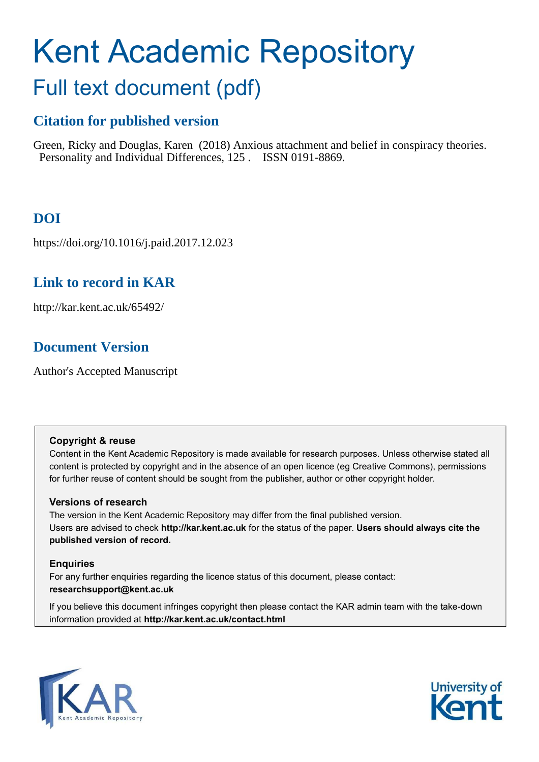# Kent Academic Repository

## Full text document (pdf)

## **Citation for published version**

Green, Ricky and Douglas, Karen (2018) Anxious attachment and belief in conspiracy theories. Personality and Individual Differences, 125 . ISSN 0191-8869.

## **DOI**

https://doi.org/10.1016/j.paid.2017.12.023

## **Link to record in KAR**

http://kar.kent.ac.uk/65492/

## **Document Version**

Author's Accepted Manuscript

#### **Copyright & reuse**

Content in the Kent Academic Repository is made available for research purposes. Unless otherwise stated all content is protected by copyright and in the absence of an open licence (eg Creative Commons), permissions for further reuse of content should be sought from the publisher, author or other copyright holder.

#### **Versions of research**

The version in the Kent Academic Repository may differ from the final published version. Users are advised to check **http://kar.kent.ac.uk** for the status of the paper. **Users should always cite the published version of record.**

#### **Enquiries**

For any further enquiries regarding the licence status of this document, please contact: **researchsupport@kent.ac.uk**

If you believe this document infringes copyright then please contact the KAR admin team with the take-down information provided at **http://kar.kent.ac.uk/contact.html**



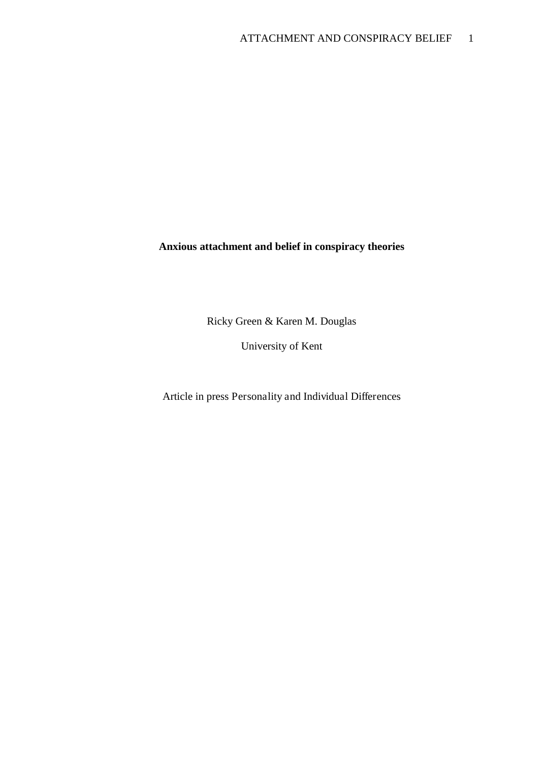## **Anxious attachment and belief in conspiracy theories**

Ricky Green & Karen M. Douglas

University of Kent

Article in press Personality and Individual Differences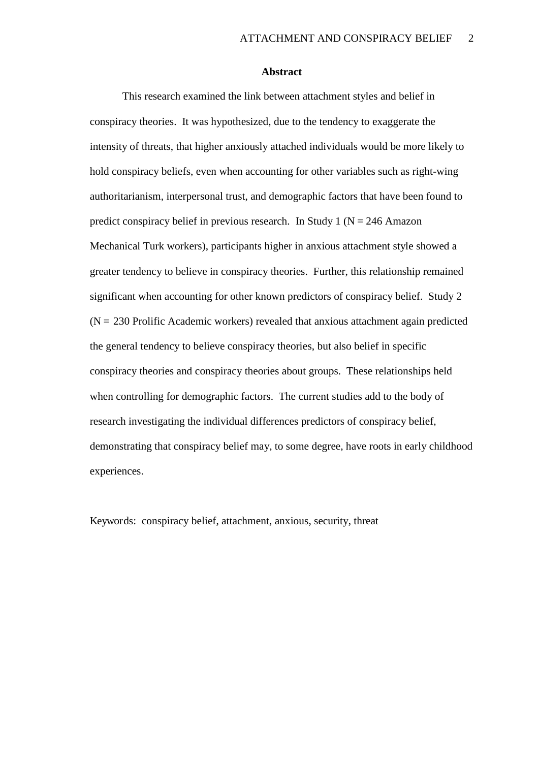#### **Abstract**

This research examined the link between attachment styles and belief in conspiracy theories. It was hypothesized, due to the tendency to exaggerate the intensity of threats, that higher anxiously attached individuals would be more likely to hold conspiracy beliefs, even when accounting for other variables such as right-wing authoritarianism, interpersonal trust, and demographic factors that have been found to predict conspiracy belief in previous research. In Study 1 ( $N = 246$  Amazon Mechanical Turk workers), participants higher in anxious attachment style showed a greater tendency to believe in conspiracy theories. Further, this relationship remained significant when accounting for other known predictors of conspiracy belief. Study 2  $(N = 230$  Prolific Academic workers) revealed that anxious attachment again predicted the general tendency to believe conspiracy theories, but also belief in specific conspiracy theories and conspiracy theories about groups. These relationships held when controlling for demographic factors. The current studies add to the body of research investigating the individual differences predictors of conspiracy belief, demonstrating that conspiracy belief may, to some degree, have roots in early childhood experiences.

Keywords: conspiracy belief, attachment, anxious, security, threat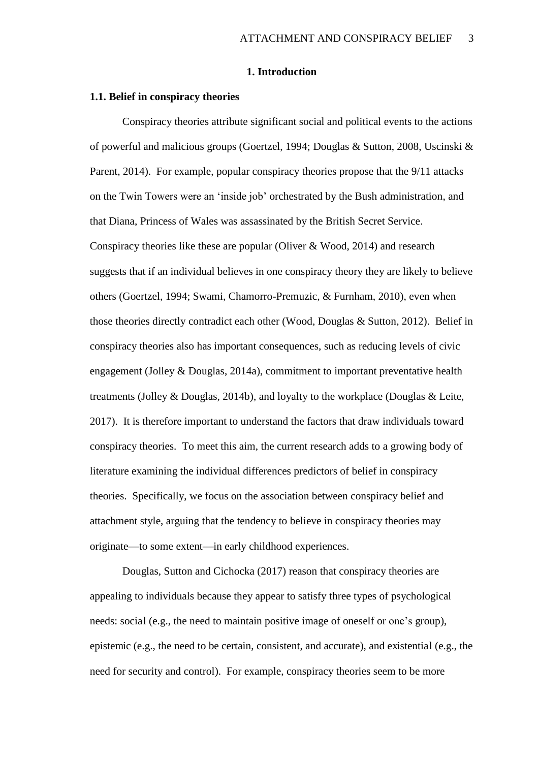#### **1. Introduction**

#### **1.1. Belief in conspiracy theories**

Conspiracy theories attribute significant social and political events to the actions of powerful and malicious groups (Goertzel, 1994; Douglas & Sutton, 2008, Uscinski & Parent, 2014). For example, popular conspiracy theories propose that the 9/11 attacks on the Twin Towers were an 'inside job' orchestrated by the Bush administration, and that Diana, Princess of Wales was assassinated by the British Secret Service. Conspiracy theories like these are popular (Oliver & Wood, 2014) and research suggests that if an individual believes in one conspiracy theory they are likely to believe others (Goertzel, 1994; Swami, Chamorro-Premuzic, & Furnham, 2010), even when those theories directly contradict each other (Wood, Douglas & Sutton, 2012). Belief in conspiracy theories also has important consequences, such as reducing levels of civic engagement (Jolley & Douglas, 2014a), commitment to important preventative health treatments (Jolley & Douglas, 2014b), and loyalty to the workplace (Douglas & Leite, 2017). It is therefore important to understand the factors that draw individuals toward conspiracy theories. To meet this aim, the current research adds to a growing body of literature examining the individual differences predictors of belief in conspiracy theories. Specifically, we focus on the association between conspiracy belief and attachment style, arguing that the tendency to believe in conspiracy theories may originate—to some extent—in early childhood experiences.

Douglas, Sutton and Cichocka (2017) reason that conspiracy theories are appealing to individuals because they appear to satisfy three types of psychological needs: social (e.g., the need to maintain positive image of oneself or one's group), epistemic (e.g., the need to be certain, consistent, and accurate), and existential (e.g., the need for security and control). For example, conspiracy theories seem to be more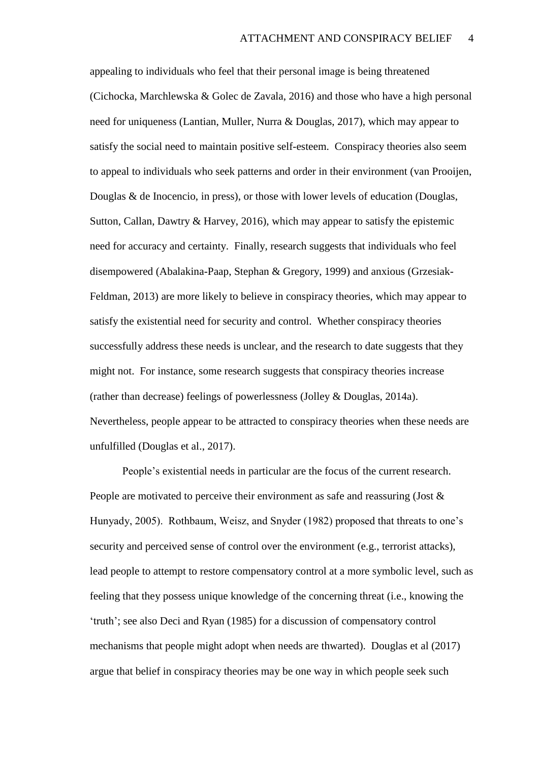appealing to individuals who feel that their personal image is being threatened (Cichocka, Marchlewska & Golec de Zavala, 2016) and those who have a high personal need for uniqueness (Lantian, Muller, Nurra & Douglas, 2017), which may appear to satisfy the social need to maintain positive self-esteem. Conspiracy theories also seem to appeal to individuals who seek patterns and order in their environment (van Prooijen, Douglas & de Inocencio, in press), or those with lower levels of education (Douglas, Sutton, Callan, Dawtry & Harvey, 2016), which may appear to satisfy the epistemic need for accuracy and certainty. Finally, research suggests that individuals who feel disempowered (Abalakina-Paap, Stephan & Gregory, 1999) and anxious (Grzesiak-Feldman, 2013) are more likely to believe in conspiracy theories, which may appear to satisfy the existential need for security and control. Whether conspiracy theories successfully address these needs is unclear, and the research to date suggests that they might not. For instance, some research suggests that conspiracy theories increase (rather than decrease) feelings of powerlessness (Jolley & Douglas, 2014a). Nevertheless, people appear to be attracted to conspiracy theories when these needs are unfulfilled (Douglas et al., 2017).

People's existential needs in particular are the focus of the current research. People are motivated to perceive their environment as safe and reassuring (Jost & Hunyady, 2005). Rothbaum, Weisz, and Snyder (1982) proposed that threats to one's security and perceived sense of control over the environment (e.g., terrorist attacks), lead people to attempt to restore compensatory control at a more symbolic level, such as feeling that they possess unique knowledge of the concerning threat (i.e., knowing the 'truth'; see also Deci and Ryan (1985) for a discussion of compensatory control mechanisms that people might adopt when needs are thwarted). Douglas et al (2017) argue that belief in conspiracy theories may be one way in which people seek such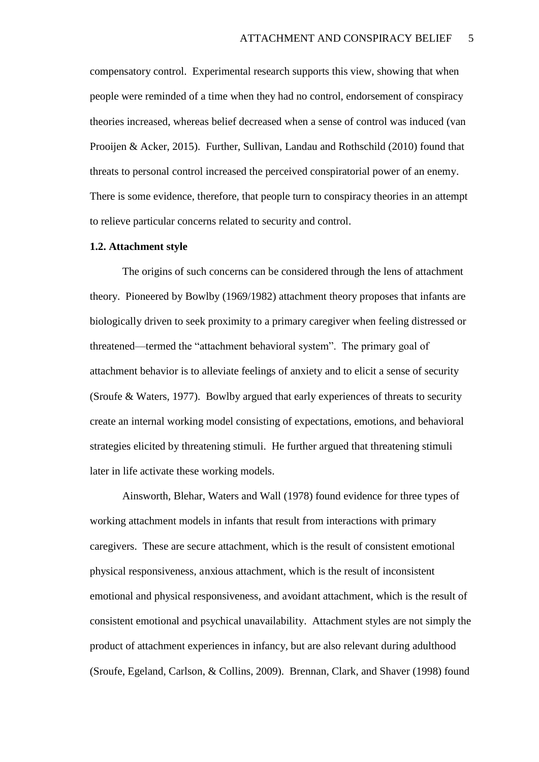compensatory control. Experimental research supports this view, showing that when people were reminded of a time when they had no control, endorsement of conspiracy theories increased, whereas belief decreased when a sense of control was induced (van Prooijen & Acker, 2015). Further, Sullivan, Landau and Rothschild (2010) found that threats to personal control increased the perceived conspiratorial power of an enemy. There is some evidence, therefore, that people turn to conspiracy theories in an attempt to relieve particular concerns related to security and control.

#### **1.2. Attachment style**

The origins of such concerns can be considered through the lens of attachment theory. Pioneered by Bowlby (1969/1982) attachment theory proposes that infants are biologically driven to seek proximity to a primary caregiver when feeling distressed or threatened—termed the "attachment behavioral system". The primary goal of attachment behavior is to alleviate feelings of anxiety and to elicit a sense of security (Sroufe & Waters, 1977). Bowlby argued that early experiences of threats to security create an internal working model consisting of expectations, emotions, and behavioral strategies elicited by threatening stimuli. He further argued that threatening stimuli later in life activate these working models.

Ainsworth, Blehar, Waters and Wall (1978) found evidence for three types of working attachment models in infants that result from interactions with primary caregivers. These are secure attachment, which is the result of consistent emotional physical responsiveness, anxious attachment, which is the result of inconsistent emotional and physical responsiveness, and avoidant attachment, which is the result of consistent emotional and psychical unavailability. Attachment styles are not simply the product of attachment experiences in infancy, but are also relevant during adulthood (Sroufe, Egeland, Carlson, & Collins, 2009). Brennan, Clark, and Shaver (1998) found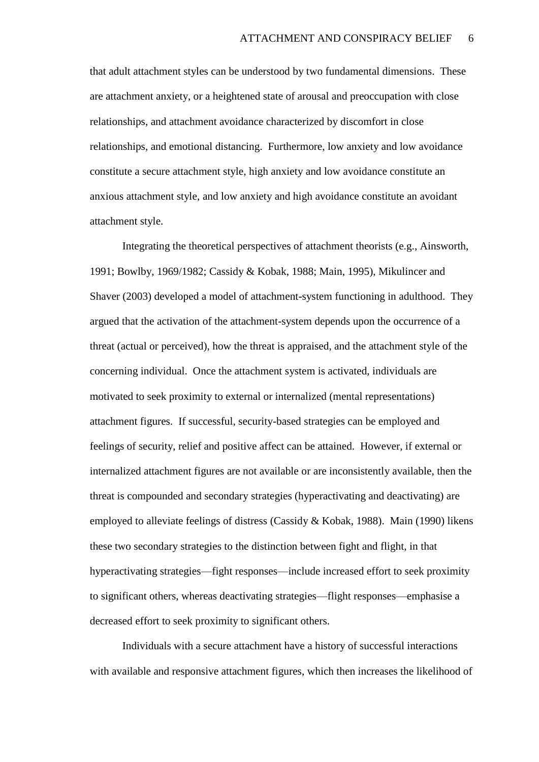that adult attachment styles can be understood by two fundamental dimensions. These are attachment anxiety, or a heightened state of arousal and preoccupation with close relationships, and attachment avoidance characterized by discomfort in close relationships, and emotional distancing. Furthermore, low anxiety and low avoidance constitute a secure attachment style, high anxiety and low avoidance constitute an anxious attachment style, and low anxiety and high avoidance constitute an avoidant attachment style.

Integrating the theoretical perspectives of attachment theorists (e.g., Ainsworth, 1991; Bowlby, 1969/1982; Cassidy & Kobak, 1988; Main, 1995), Mikulincer and Shaver (2003) developed a model of attachment-system functioning in adulthood. They argued that the activation of the attachment-system depends upon the occurrence of a threat (actual or perceived), how the threat is appraised, and the attachment style of the concerning individual. Once the attachment system is activated, individuals are motivated to seek proximity to external or internalized (mental representations) attachment figures. If successful, security-based strategies can be employed and feelings of security, relief and positive affect can be attained. However, if external or internalized attachment figures are not available or are inconsistently available, then the threat is compounded and secondary strategies (hyperactivating and deactivating) are employed to alleviate feelings of distress (Cassidy & Kobak, 1988). Main (1990) likens these two secondary strategies to the distinction between fight and flight, in that hyperactivating strategies—fight responses—include increased effort to seek proximity to significant others, whereas deactivating strategies—flight responses—emphasise a decreased effort to seek proximity to significant others.

Individuals with a secure attachment have a history of successful interactions with available and responsive attachment figures, which then increases the likelihood of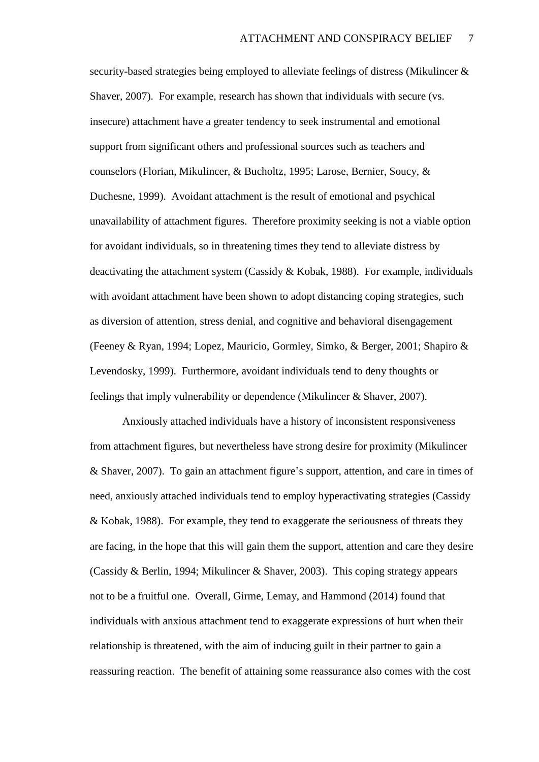security-based strategies being employed to alleviate feelings of distress (Mikulincer & Shaver, 2007). For example, research has shown that individuals with secure (vs. insecure) attachment have a greater tendency to seek instrumental and emotional support from significant others and professional sources such as teachers and counselors (Florian, Mikulincer, & Bucholtz, 1995; Larose, Bernier, Soucy, & Duchesne, 1999). Avoidant attachment is the result of emotional and psychical unavailability of attachment figures. Therefore proximity seeking is not a viable option for avoidant individuals, so in threatening times they tend to alleviate distress by deactivating the attachment system (Cassidy & Kobak, 1988). For example, individuals with avoidant attachment have been shown to adopt distancing coping strategies, such as diversion of attention, stress denial, and cognitive and behavioral disengagement (Feeney & Ryan, 1994; Lopez, Mauricio, Gormley, Simko, & Berger, 2001; Shapiro & Levendosky, 1999). Furthermore, avoidant individuals tend to deny thoughts or feelings that imply vulnerability or dependence (Mikulincer & Shaver, 2007).

Anxiously attached individuals have a history of inconsistent responsiveness from attachment figures, but nevertheless have strong desire for proximity (Mikulincer & Shaver, 2007). To gain an attachment figure's support, attention, and care in times of need, anxiously attached individuals tend to employ hyperactivating strategies (Cassidy & Kobak, 1988). For example, they tend to exaggerate the seriousness of threats they are facing, in the hope that this will gain them the support, attention and care they desire (Cassidy & Berlin, 1994; Mikulincer & Shaver, 2003). This coping strategy appears not to be a fruitful one. Overall, Girme, Lemay, and Hammond (2014) found that individuals with anxious attachment tend to exaggerate expressions of hurt when their relationship is threatened, with the aim of inducing guilt in their partner to gain a reassuring reaction. The benefit of attaining some reassurance also comes with the cost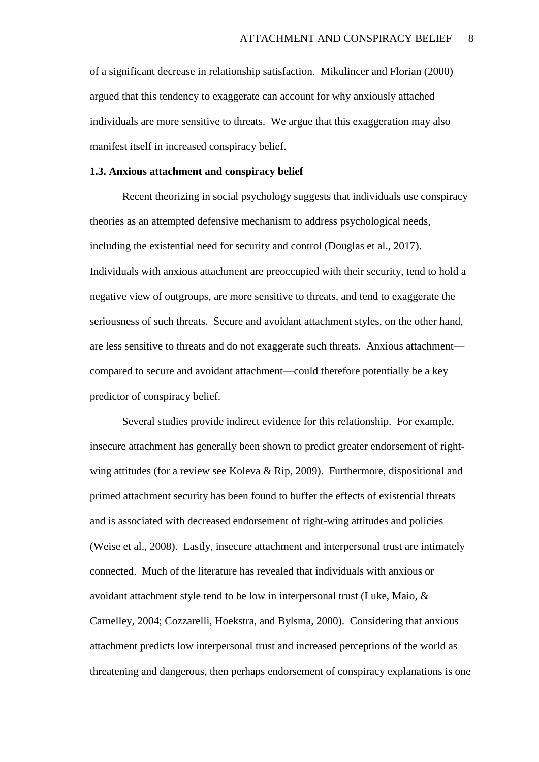of a significant decrease in relationship satisfaction. Mikulincer and Florian (2000) argued that this tendency to exaggerate can account for why anxiously attached individuals are more sensitive to threats. We argue that this exaggeration may also manifest itself in increased conspiracy belief.

#### **1.3. Anxious attachment and conspiracy belief**

Recent theorizing in social psychology suggests that individuals use conspiracy theories as an attempted defensive mechanism to address psychological needs, including the existential need for security and control (Douglas et al., 2017). Individuals with anxious attachment are preoccupied with their security, tend to hold a negative view of outgroups, are more sensitive to threats, and tend to exaggerate the seriousness of such threats. Secure and avoidant attachment styles, on the other hand, are less sensitive to threats and do not exaggerate such threats. Anxious attachment compared to secure and avoidant attachment—could therefore potentially be a key predictor of conspiracy belief.

Several studies provide indirect evidence for this relationship. For example, insecure attachment has generally been shown to predict greater endorsement of rightwing attitudes (for a review see Koleva & Rip, 2009). Furthermore, dispositional and primed attachment security has been found to buffer the effects of existential threats and is associated with decreased endorsement of right-wing attitudes and policies (Weise et al., 2008). Lastly, insecure attachment and interpersonal trust are intimately connected. Much of the literature has revealed that individuals with anxious or avoidant attachment style tend to be low in interpersonal trust (Luke, Maio, & Carnelley, 2004; Cozzarelli, Hoekstra, and Bylsma, 2000). Considering that anxious attachment predicts low interpersonal trust and increased perceptions of the world as threatening and dangerous, then perhaps endorsement of conspiracy explanations is one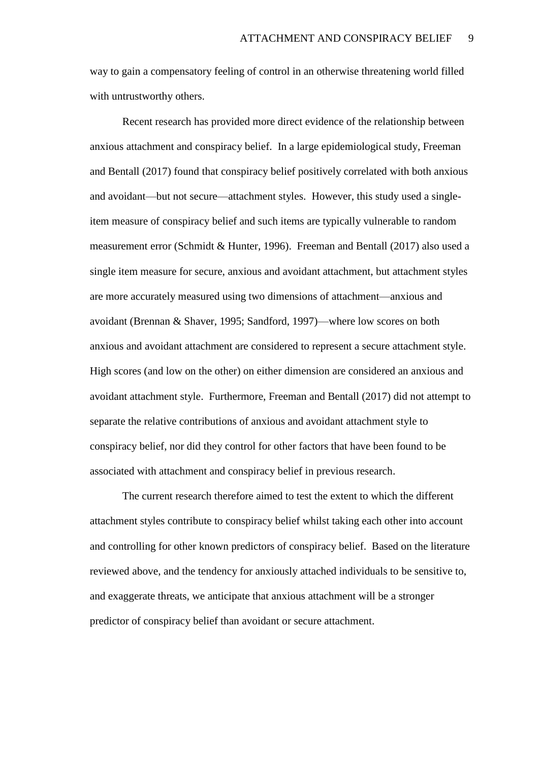way to gain a compensatory feeling of control in an otherwise threatening world filled with untrustworthy others.

Recent research has provided more direct evidence of the relationship between anxious attachment and conspiracy belief. In a large epidemiological study, Freeman and Bentall (2017) found that conspiracy belief positively correlated with both anxious and avoidant—but not secure—attachment styles. However, this study used a singleitem measure of conspiracy belief and such items are typically vulnerable to random measurement error (Schmidt & Hunter, 1996). Freeman and Bentall (2017) also used a single item measure for secure, anxious and avoidant attachment, but attachment styles are more accurately measured using two dimensions of attachment—anxious and avoidant (Brennan & Shaver, 1995; Sandford, 1997)—where low scores on both anxious and avoidant attachment are considered to represent a secure attachment style. High scores (and low on the other) on either dimension are considered an anxious and avoidant attachment style. Furthermore, Freeman and Bentall (2017) did not attempt to separate the relative contributions of anxious and avoidant attachment style to conspiracy belief, nor did they control for other factors that have been found to be associated with attachment and conspiracy belief in previous research.

The current research therefore aimed to test the extent to which the different attachment styles contribute to conspiracy belief whilst taking each other into account and controlling for other known predictors of conspiracy belief. Based on the literature reviewed above, and the tendency for anxiously attached individuals to be sensitive to, and exaggerate threats, we anticipate that anxious attachment will be a stronger predictor of conspiracy belief than avoidant or secure attachment.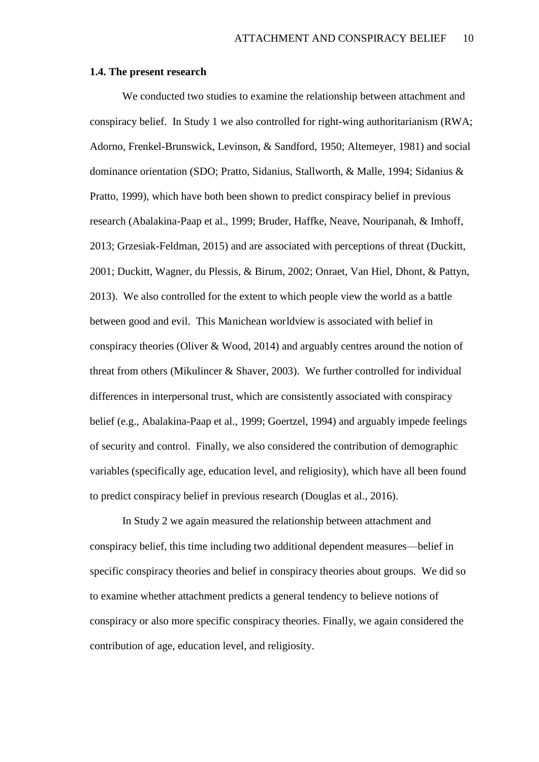#### **1.4. The present research**

We conducted two studies to examine the relationship between attachment and conspiracy belief. In Study 1 we also controlled for right-wing authoritarianism (RWA; Adorno, Frenkel-Brunswick, Levinson, & Sandford, 1950; Altemeyer, 1981) and social dominance orientation (SDO; Pratto, Sidanius, Stallworth, & Malle, 1994; Sidanius & Pratto, 1999), which have both been shown to predict conspiracy belief in previous research (Abalakina-Paap et al., 1999; Bruder, Haffke, Neave, Nouripanah, & Imhoff, 2013; Grzesiak-Feldman, 2015) and are associated with perceptions of threat (Duckitt, 2001; Duckitt, Wagner, du Plessis, & Birum, 2002; Onraet, Van Hiel, Dhont, & Pattyn, 2013). We also controlled for the extent to which people view the world as a battle between good and evil. This Manichean worldview is associated with belief in conspiracy theories (Oliver & Wood, 2014) and arguably centres around the notion of threat from others (Mikulincer & Shaver, 2003). We further controlled for individual differences in interpersonal trust, which are consistently associated with conspiracy belief (e.g., Abalakina-Paap et al., 1999; Goertzel, 1994) and arguably impede feelings of security and control. Finally, we also considered the contribution of demographic variables (specifically age, education level, and religiosity), which have all been found to predict conspiracy belief in previous research (Douglas et al., 2016).

 In Study 2 we again measured the relationship between attachment and conspiracy belief, this time including two additional dependent measures—belief in specific conspiracy theories and belief in conspiracy theories about groups. We did so to examine whether attachment predicts a general tendency to believe notions of conspiracy or also more specific conspiracy theories. Finally, we again considered the contribution of age, education level, and religiosity.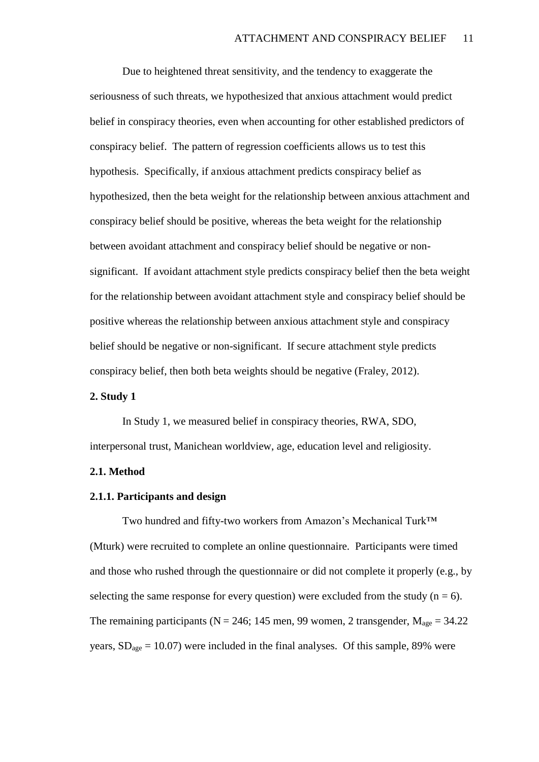Due to heightened threat sensitivity, and the tendency to exaggerate the seriousness of such threats, we hypothesized that anxious attachment would predict belief in conspiracy theories, even when accounting for other established predictors of conspiracy belief. The pattern of regression coefficients allows us to test this hypothesis. Specifically, if anxious attachment predicts conspiracy belief as hypothesized, then the beta weight for the relationship between anxious attachment and conspiracy belief should be positive, whereas the beta weight for the relationship between avoidant attachment and conspiracy belief should be negative or nonsignificant. If avoidant attachment style predicts conspiracy belief then the beta weight for the relationship between avoidant attachment style and conspiracy belief should be positive whereas the relationship between anxious attachment style and conspiracy belief should be negative or non-significant. If secure attachment style predicts conspiracy belief, then both beta weights should be negative (Fraley, 2012).

#### **2. Study 1**

In Study 1, we measured belief in conspiracy theories, RWA, SDO, interpersonal trust, Manichean worldview, age, education level and religiosity.

#### **2.1. Method**

#### **2.1.1. Participants and design**

Two hundred and fifty-two workers from Amazon's Mechanical Turk™ (Mturk) were recruited to complete an online questionnaire. Participants were timed and those who rushed through the questionnaire or did not complete it properly (e.g., by selecting the same response for every question) were excluded from the study  $(n = 6)$ . The remaining participants ( $N = 246$ ; 145 men, 99 women, 2 transgender,  $M_{\text{age}} = 34.22$ years,  $SD<sub>age</sub> = 10.07$ ) were included in the final analyses. Of this sample, 89% were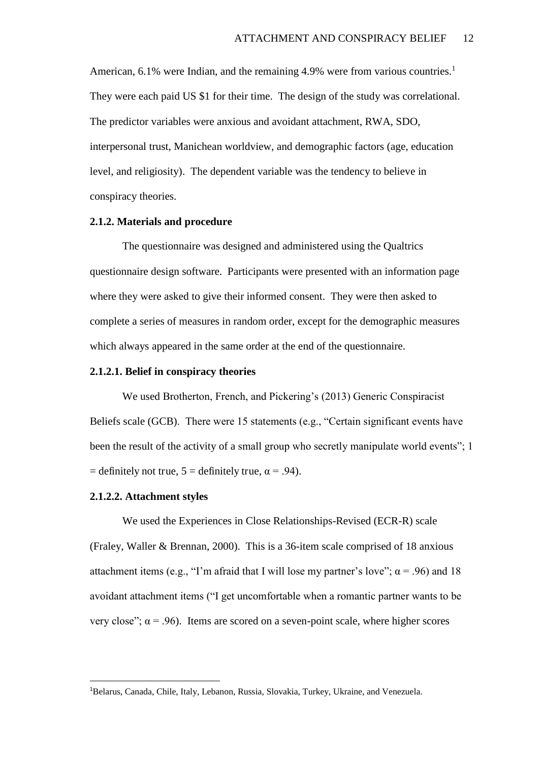American, 6.1% were Indian, and the remaining 4.9% were from various countries.<sup>1</sup> They were each paid US \$1 for their time. The design of the study was correlational. The predictor variables were anxious and avoidant attachment, RWA, SDO, interpersonal trust, Manichean worldview, and demographic factors (age, education level, and religiosity). The dependent variable was the tendency to believe in conspiracy theories.

#### **2.1.2. Materials and procedure**

The questionnaire was designed and administered using the Qualtrics questionnaire design software. Participants were presented with an information page where they were asked to give their informed consent. They were then asked to complete a series of measures in random order, except for the demographic measures which always appeared in the same order at the end of the questionnaire.

#### **2.1.2.1. Belief in conspiracy theories**

We used Brotherton, French, and Pickering's (2013) Generic Conspiracist Beliefs scale (GCB). There were 15 statements (e.g., "Certain significant events have been the result of the activity of a small group who secretly manipulate world events"; 1 = definitely not true,  $5 =$  definitely true,  $\alpha = .94$ ).

#### **2.1.2.2. Attachment styles**

 $\overline{a}$ 

We used the Experiences in Close Relationships-Revised (ECR-R) scale (Fraley, Waller & Brennan, 2000). This is a 36-item scale comprised of 18 anxious attachment items (e.g., "I'm afraid that I will lose my partner's love";  $\alpha$  = .96) and 18 avoidant attachment items ("I get uncomfortable when a romantic partner wants to be very close";  $\alpha$  = .96). Items are scored on a seven-point scale, where higher scores

<sup>1</sup>Belarus, Canada, Chile, Italy, Lebanon, Russia, Slovakia, Turkey, Ukraine, and Venezuela.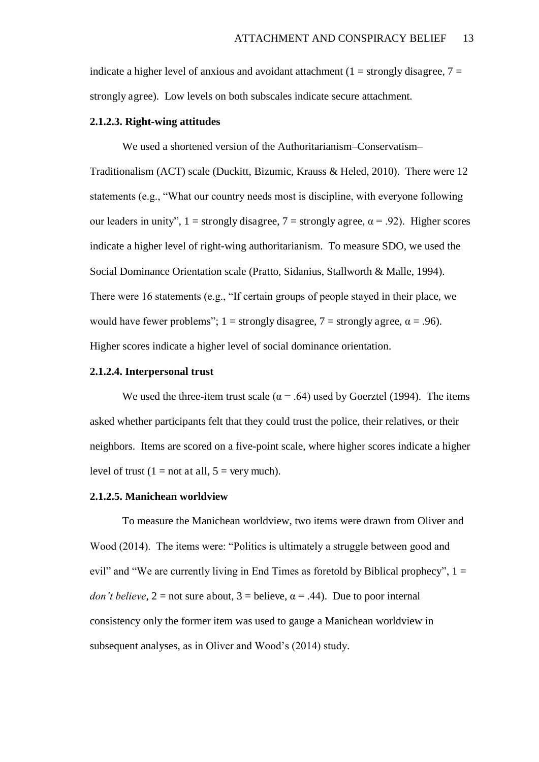indicate a higher level of anxious and avoidant attachment  $(1 = \text{strongly disagree}, 7 =$ strongly agree). Low levels on both subscales indicate secure attachment.

#### **2.1.2.3. Right-wing attitudes**

We used a shortened version of the Authoritarianism–Conservatism–

Traditionalism (ACT) scale (Duckitt, Bizumic, Krauss & Heled, 2010). There were 12 statements (e.g., "What our country needs most is discipline, with everyone following our leaders in unity",  $1 =$  strongly disagree,  $7 =$  strongly agree,  $\alpha = .92$ ). Higher scores indicate a higher level of right-wing authoritarianism. To measure SDO, we used the Social Dominance Orientation scale (Pratto, Sidanius, Stallworth & Malle, 1994). There were 16 statements (e.g., "If certain groups of people stayed in their place, we would have fewer problems"; 1 = strongly disagree, 7 = strongly agree,  $\alpha$  = .96). Higher scores indicate a higher level of social dominance orientation.

#### **2.1.2.4. Interpersonal trust**

We used the three-item trust scale ( $\alpha$  = .64) used by Goerztel (1994). The items asked whether participants felt that they could trust the police, their relatives, or their neighbors. Items are scored on a five-point scale, where higher scores indicate a higher level of trust  $(1 = not at all, 5 = very much)$ .

#### **2.1.2.5. Manichean worldview**

To measure the Manichean worldview, two items were drawn from Oliver and Wood (2014). The items were: "Politics is ultimately a struggle between good and evil" and "We are currently living in End Times as foretold by Biblical prophecy",  $1 =$ *don't believe*,  $2 = not sure about, 3 = believe,  $\alpha = .44$ ). Due to poor internal$ consistency only the former item was used to gauge a Manichean worldview in subsequent analyses, as in Oliver and Wood's (2014) study.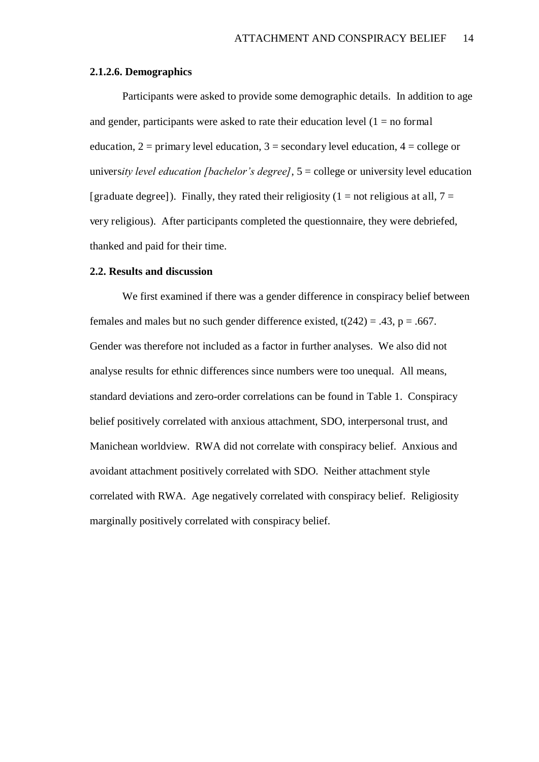#### **2.1.2.6. Demographics**

Participants were asked to provide some demographic details. In addition to age and gender, participants were asked to rate their education level  $(1 = no formal)$ education,  $2 = \text{primary level education}, 3 = \text{secondary level education}, 4 = \text{ college or}$ univers*ity level education [bachelor's degree]*, 5 = college or university level education [graduate degree]). Finally, they rated their religiosity (1 = not religious at all,  $7 =$ very religious). After participants completed the questionnaire, they were debriefed, thanked and paid for their time.

#### **2.2. Results and discussion**

We first examined if there was a gender difference in conspiracy belief between females and males but no such gender difference existed,  $t(242) = .43$ ,  $p = .667$ . Gender was therefore not included as a factor in further analyses. We also did not analyse results for ethnic differences since numbers were too unequal. All means, standard deviations and zero-order correlations can be found in Table 1. Conspiracy belief positively correlated with anxious attachment, SDO, interpersonal trust, and Manichean worldview. RWA did not correlate with conspiracy belief. Anxious and avoidant attachment positively correlated with SDO. Neither attachment style correlated with RWA. Age negatively correlated with conspiracy belief. Religiosity marginally positively correlated with conspiracy belief.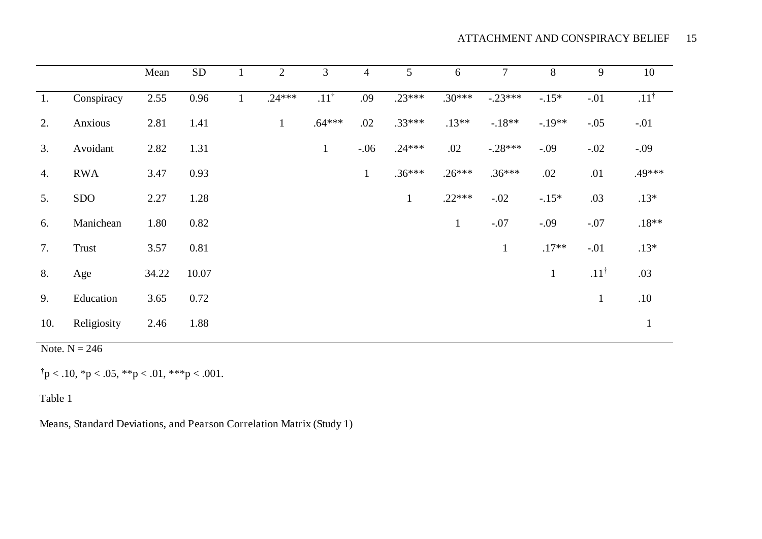|     |             | Mean  | ${\rm SD}$ | 2            | 3               | $\overline{4}$ | $5\overline{)}$ | 6            | $\tau$       | 8            | 9               | 10              |
|-----|-------------|-------|------------|--------------|-----------------|----------------|-----------------|--------------|--------------|--------------|-----------------|-----------------|
| 1.  | Conspiracy  | 2.55  | 0.96       | $.24***$     | $.11^{\dagger}$ | .09            | $.23***$        | $.30***$     | $-.23***$    | $-.15*$      | $-.01$          | $.11^{\dagger}$ |
| 2.  | Anxious     | 2.81  | 1.41       | $\mathbf{1}$ | $.64***$        | .02            | $.33***$        | $.13**$      | $-18**$      | $-.19**$     | $-.05$          | $-.01$          |
| 3.  | Avoidant    | 2.82  | 1.31       |              | $\mathbf{1}$    | $-.06$         | $.24***$        | .02          | $-.28***$    | $-.09$       | $-.02$          | $-0.09$         |
| 4.  | <b>RWA</b>  | 3.47  | 0.93       |              |                 | $\mathbf{1}$   | $.36***$        | $.26***$     | $.36***$     | .02          | .01             | .49***          |
| 5.  | <b>SDO</b>  | 2.27  | 1.28       |              |                 |                | $\mathbf{1}$    | $.22***$     | $-.02$       | $-15*$       | .03             | $.13*$          |
| 6.  | Manichean   | 1.80  | 0.82       |              |                 |                |                 | $\mathbf{1}$ | $-.07$       | $-.09$       | $-.07$          | $.18**$         |
| 7.  | Trust       | 3.57  | 0.81       |              |                 |                |                 |              | $\mathbf{1}$ | $.17**$      | $-.01$          | $.13*$          |
| 8.  | Age         | 34.22 | 10.07      |              |                 |                |                 |              |              | $\mathbf{1}$ | $.11^{\dagger}$ | .03             |
| 9.  | Education   | 3.65  | 0.72       |              |                 |                |                 |              |              |              | $\mathbf{1}$    | .10             |
| 10. | Religiosity | 2.46  | 1.88       |              |                 |                |                 |              |              |              |                 | $\mathbf{1}$    |

Note.  $N = 246$ 

 $\uparrow p < .10, \uparrow p < .05, \uparrow \uparrow p < .01, \uparrow \uparrow \uparrow p < .001.$ 

Table 1

Means, Standard Deviations, and Pearson Correlation Matrix (Study 1)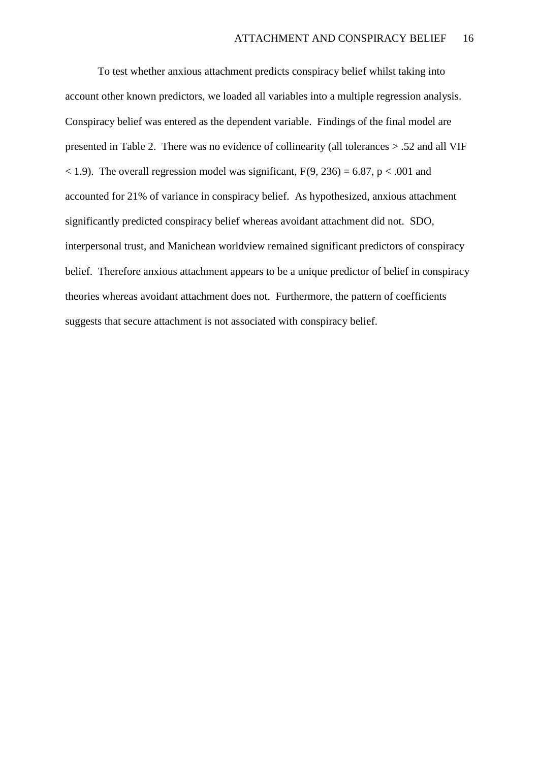To test whether anxious attachment predicts conspiracy belief whilst taking into account other known predictors, we loaded all variables into a multiple regression analysis. Conspiracy belief was entered as the dependent variable. Findings of the final model are presented in Table 2. There was no evidence of collinearity (all tolerances > .52 and all VIF  $<$  1.9). The overall regression model was significant, F(9, 236) = 6.87, p  $<$  0.01 and accounted for 21% of variance in conspiracy belief. As hypothesized, anxious attachment significantly predicted conspiracy belief whereas avoidant attachment did not. SDO, interpersonal trust, and Manichean worldview remained significant predictors of conspiracy belief. Therefore anxious attachment appears to be a unique predictor of belief in conspiracy theories whereas avoidant attachment does not. Furthermore, the pattern of coefficients suggests that secure attachment is not associated with conspiracy belief.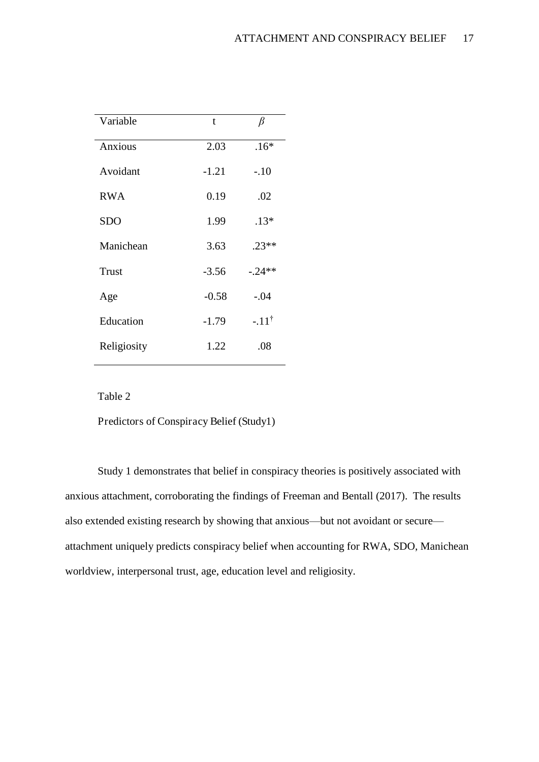| Variable     | t       | $\beta$         |
|--------------|---------|-----------------|
| Anxious      | 2.03    | $.16*$          |
| Avoidant     | $-1.21$ | $-.10$          |
| <b>RWA</b>   | 0.19    | .02             |
| <b>SDO</b>   | 1.99    | $.13*$          |
| Manichean    | 3.63    | $.23**$         |
| <b>Trust</b> | $-3.56$ | $-.24**$        |
| Age          | $-0.58$ | $-.04$          |
| Education    | $-1.79$ | $-11^{\dagger}$ |
| Religiosity  | 1.22    | .08             |

Table 2

Predictors of Conspiracy Belief (Study1)

Study 1 demonstrates that belief in conspiracy theories is positively associated with anxious attachment, corroborating the findings of Freeman and Bentall (2017). The results also extended existing research by showing that anxious—but not avoidant or secure attachment uniquely predicts conspiracy belief when accounting for RWA, SDO, Manichean worldview, interpersonal trust, age, education level and religiosity.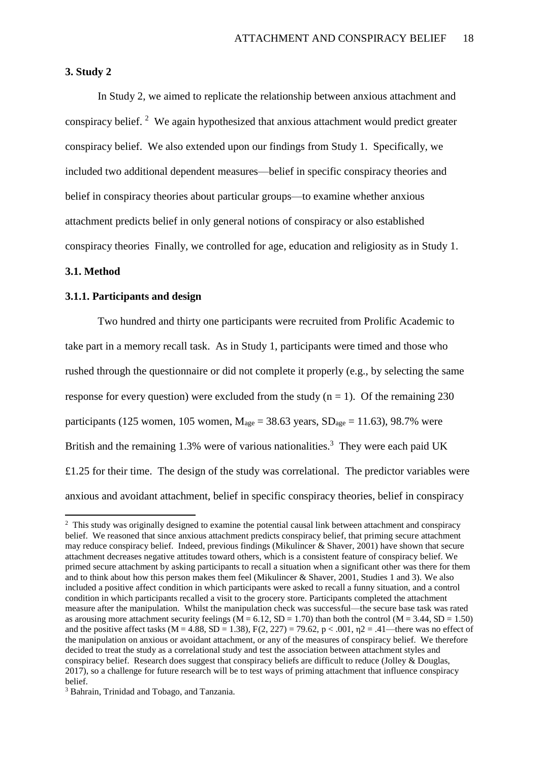#### **3. Study 2**

 In Study 2, we aimed to replicate the relationship between anxious attachment and conspiracy belief.<sup>2</sup> We again hypothesized that anxious attachment would predict greater conspiracy belief. We also extended upon our findings from Study 1. Specifically, we included two additional dependent measures—belief in specific conspiracy theories and belief in conspiracy theories about particular groups—to examine whether anxious attachment predicts belief in only general notions of conspiracy or also established conspiracy theories Finally, we controlled for age, education and religiosity as in Study 1.

#### **3.1. Method**

 $\overline{a}$ 

#### **3.1.1. Participants and design**

Two hundred and thirty one participants were recruited from Prolific Academic to take part in a memory recall task. As in Study 1, participants were timed and those who rushed through the questionnaire or did not complete it properly (e.g., by selecting the same response for every question) were excluded from the study  $(n = 1)$ . Of the remaining 230 participants (125 women, 105 women,  $M_{\text{age}} = 38.63$  years,  $SD_{\text{age}} = 11.63$ ), 98.7% were British and the remaining 1.3% were of various nationalities.<sup>3</sup> They were each paid UK £1.25 for their time. The design of the study was correlational. The predictor variables were anxious and avoidant attachment, belief in specific conspiracy theories, belief in conspiracy

<sup>&</sup>lt;sup>2</sup> This study was originally designed to examine the potential causal link between attachment and conspiracy belief. We reasoned that since anxious attachment predicts conspiracy belief, that priming secure attachment may reduce conspiracy belief. Indeed, previous findings (Mikulincer & Shaver, 2001) have shown that secure attachment decreases negative attitudes toward others, which is a consistent feature of conspiracy belief. We primed secure attachment by asking participants to recall a situation when a significant other was there for them and to think about how this person makes them feel (Mikulincer & Shaver, 2001, Studies 1 and 3). We also included a positive affect condition in which participants were asked to recall a funny situation, and a control condition in which participants recalled a visit to the grocery store. Participants completed the attachment measure after the manipulation. Whilst the manipulation check was successful—the secure base task was rated as arousing more attachment security feelings ( $\dot{M} = 6.12$ , SD = 1.70) than both the control ( $M = 3.44$ , SD = 1.50) and the positive affect tasks (M = 4.88, SD = 1.38), F(2, 227) = 79.62, p < .001,  $n2 = .41$ —there was no effect of the manipulation on anxious or avoidant attachment, or any of the measures of conspiracy belief. We therefore decided to treat the study as a correlational study and test the association between attachment styles and conspiracy belief. Research does suggest that conspiracy beliefs are difficult to reduce (Jolley & Douglas, 2017), so a challenge for future research will be to test ways of priming attachment that influence conspiracy belief.

<sup>&</sup>lt;sup>3</sup> Bahrain, Trinidad and Tobago, and Tanzania.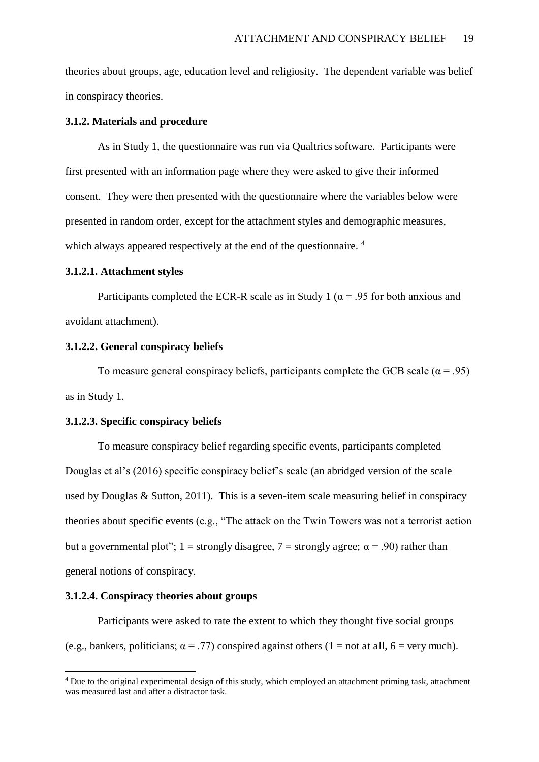theories about groups, age, education level and religiosity. The dependent variable was belief in conspiracy theories.

#### **3.1.2. Materials and procedure**

As in Study 1, the questionnaire was run via Qualtrics software. Participants were first presented with an information page where they were asked to give their informed consent. They were then presented with the questionnaire where the variables below were presented in random order, except for the attachment styles and demographic measures, which always appeared respectively at the end of the questionnaire.<sup>4</sup>

#### **3.1.2.1. Attachment styles**

Participants completed the ECR-R scale as in Study 1 ( $\alpha$  = .95 for both anxious and avoidant attachment).

#### **3.1.2.2. General conspiracy beliefs**

To measure general conspiracy beliefs, participants complete the GCB scale ( $\alpha$  = .95) as in Study 1.

#### **3.1.2.3. Specific conspiracy beliefs**

To measure conspiracy belief regarding specific events, participants completed Douglas et al's (2016) specific conspiracy belief's scale (an abridged version of the scale used by Douglas & Sutton, 2011). This is a seven-item scale measuring belief in conspiracy theories about specific events (e.g., "The attack on the Twin Towers was not a terrorist action but a governmental plot"; 1 = strongly disagree, 7 = strongly agree;  $\alpha$  = .90) rather than general notions of conspiracy.

#### **3.1.2.4. Conspiracy theories about groups**

 $\overline{a}$ 

Participants were asked to rate the extent to which they thought five social groups (e.g., bankers, politicians;  $\alpha = .77$ ) conspired against others (1 = not at all, 6 = very much).

<sup>4</sup> Due to the original experimental design of this study, which employed an attachment priming task, attachment was measured last and after a distractor task.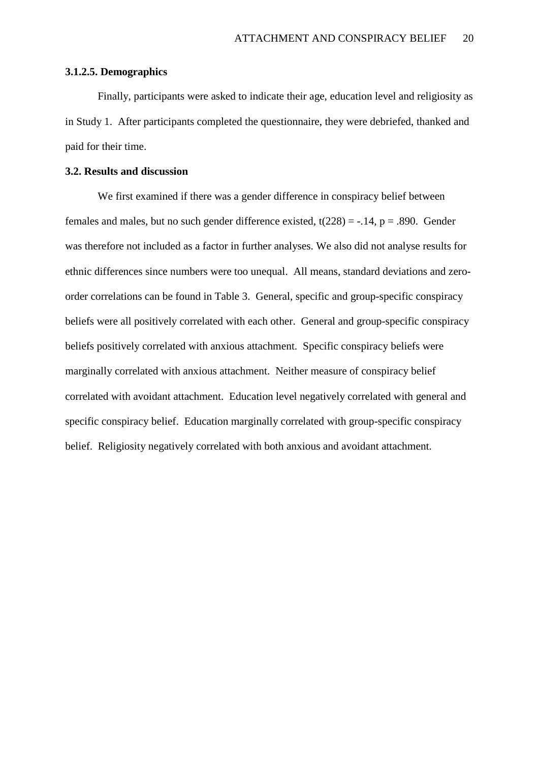#### **3.1.2.5. Demographics**

Finally, participants were asked to indicate their age, education level and religiosity as in Study 1. After participants completed the questionnaire, they were debriefed, thanked and paid for their time.

#### **3.2. Results and discussion**

We first examined if there was a gender difference in conspiracy belief between females and males, but no such gender difference existed,  $t(228) = -0.14$ ,  $p = 0.890$ . Gender was therefore not included as a factor in further analyses. We also did not analyse results for ethnic differences since numbers were too unequal. All means, standard deviations and zeroorder correlations can be found in Table 3. General, specific and group-specific conspiracy beliefs were all positively correlated with each other. General and group-specific conspiracy beliefs positively correlated with anxious attachment. Specific conspiracy beliefs were marginally correlated with anxious attachment. Neither measure of conspiracy belief correlated with avoidant attachment. Education level negatively correlated with general and specific conspiracy belief. Education marginally correlated with group-specific conspiracy belief. Religiosity negatively correlated with both anxious and avoidant attachment.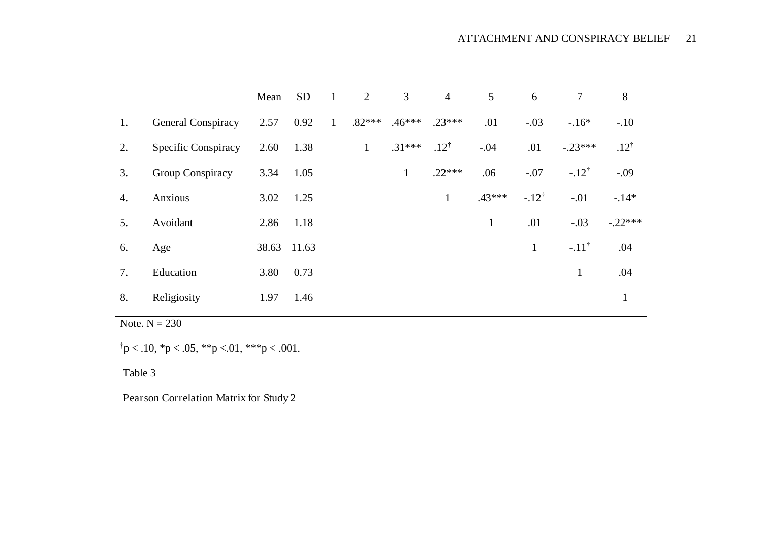|    |                     | Mean        | <b>SD</b> | 2            | 3            | $\overline{4}$  | 5            | 6                | 7                | 8               |
|----|---------------------|-------------|-----------|--------------|--------------|-----------------|--------------|------------------|------------------|-----------------|
| 1. | General Conspiracy  | 2.57        | 0.92      | $.82***$     | $.46***$     | $.23***$        | .01          | $-.03$           | $-16*$           | $-.10$          |
| 2. | Specific Conspiracy | 2.60        | 1.38      | $\mathbf{1}$ | $.31***$     | $.12^{\dagger}$ | $-.04$       | .01              | $-.23***$        | $.12^{\dagger}$ |
| 3. | Group Conspiracy    | 3.34        | 1.05      |              | $\mathbf{1}$ | $.22***$        | .06          | $-.07$           | $-.12^{\dagger}$ | $-.09$          |
| 4. | Anxious             | 3.02        | 1.25      |              |              | $\mathbf{1}$    | $.43***$     | $-.12^{\dagger}$ | $-.01$           | $-.14*$         |
| 5. | Avoidant            | 2.86        | 1.18      |              |              |                 | $\mathbf{1}$ | .01              | $-.03$           | $-.22***$       |
| 6. | Age                 | 38.63 11.63 |           |              |              |                 |              | $\mathbf{1}$     | $-.11^{\dagger}$ | .04             |
| 7. | Education           | 3.80        | 0.73      |              |              |                 |              |                  | $\mathbf{1}$     | .04             |
| 8. | Religiosity         | 1.97        | 1.46      |              |              |                 |              |                  |                  | $\mathbf{1}$    |

Note.  $N = 230$ 

 $\uparrow p < .10, \uparrow p < .05, \uparrow \uparrow p < .01, \uparrow \uparrow \uparrow p < .001.$ 

Table 3

Pearson Correlation Matrix for Study 2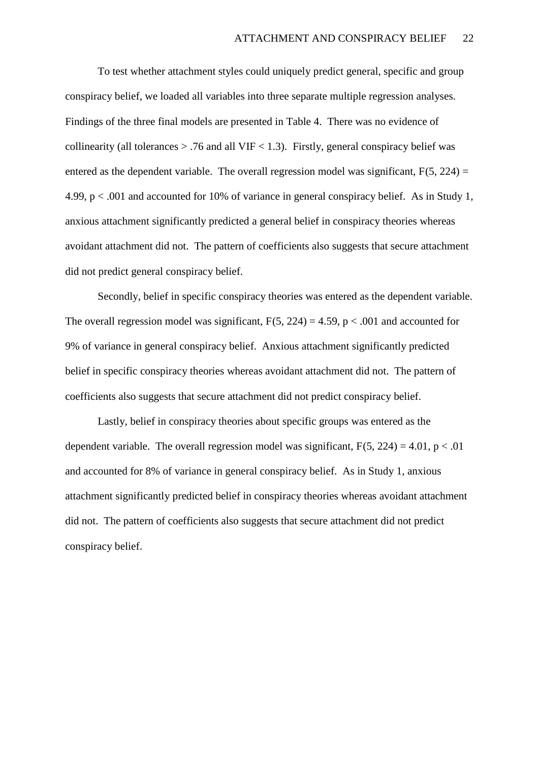To test whether attachment styles could uniquely predict general, specific and group conspiracy belief, we loaded all variables into three separate multiple regression analyses. Findings of the three final models are presented in Table 4. There was no evidence of collinearity (all tolerances  $> .76$  and all VIF  $< 1.3$ ). Firstly, general conspiracy belief was entered as the dependent variable. The overall regression model was significant,  $F(5, 224) =$ 4.99, p < .001 and accounted for 10% of variance in general conspiracy belief. As in Study 1, anxious attachment significantly predicted a general belief in conspiracy theories whereas avoidant attachment did not. The pattern of coefficients also suggests that secure attachment did not predict general conspiracy belief.

Secondly, belief in specific conspiracy theories was entered as the dependent variable. The overall regression model was significant,  $F(5, 224) = 4.59$ ,  $p < .001$  and accounted for 9% of variance in general conspiracy belief. Anxious attachment significantly predicted belief in specific conspiracy theories whereas avoidant attachment did not. The pattern of coefficients also suggests that secure attachment did not predict conspiracy belief.

Lastly, belief in conspiracy theories about specific groups was entered as the dependent variable. The overall regression model was significant,  $F(5, 224) = 4.01$ ,  $p < .01$ and accounted for 8% of variance in general conspiracy belief. As in Study 1, anxious attachment significantly predicted belief in conspiracy theories whereas avoidant attachment did not. The pattern of coefficients also suggests that secure attachment did not predict conspiracy belief.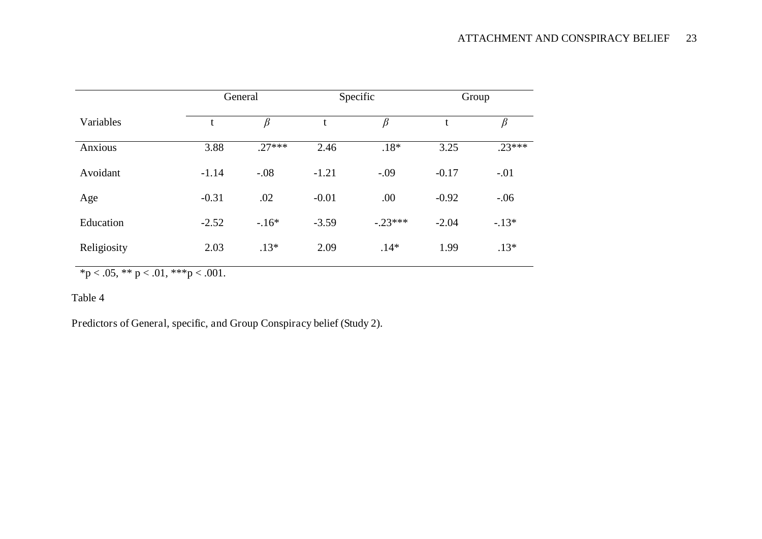|                |         | General  |         | Specific  | Group        |          |  |
|----------------|---------|----------|---------|-----------|--------------|----------|--|
| Variables      | t       | $\beta$  |         | $\beta$   | $\beta$<br>t |          |  |
| <b>Anxious</b> | 3.88    | $.27***$ | 2.46    | $.18*$    | 3.25         | $.23***$ |  |
| Avoidant       | $-1.14$ | $-.08$   | $-1.21$ | $-.09$    | $-0.17$      | $-.01$   |  |
| Age            | $-0.31$ | .02      | $-0.01$ | .00       | $-0.92$      | $-.06$   |  |
| Education      | $-2.52$ | $-.16*$  | $-3.59$ | $-.23***$ | $-2.04$      | $-.13*$  |  |
| Religiosity    | 2.03    | $.13*$   | 2.09    | $.14*$    | 1.99         | $.13*$   |  |

\*p < .05, \*\* p < .01, \*\*\* p < .001.

#### Table 4

Predictors of General, specific, and Group Conspiracy belief (Study 2).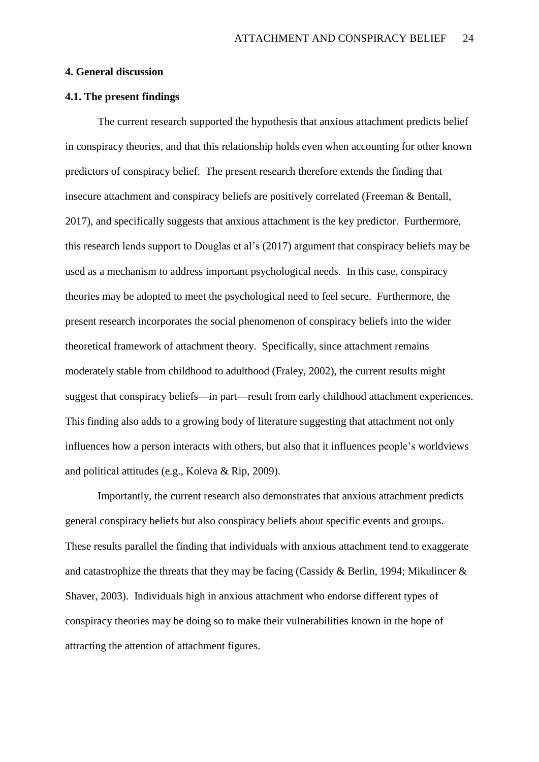#### **4. General discussion**

#### **4.1. The present findings**

The current research supported the hypothesis that anxious attachment predicts belief in conspiracy theories, and that this relationship holds even when accounting for other known predictors of conspiracy belief. The present research therefore extends the finding that insecure attachment and conspiracy beliefs are positively correlated (Freeman & Bentall, 2017), and specifically suggests that anxious attachment is the key predictor. Furthermore, this research lends support to Douglas et al's (2017) argument that conspiracy beliefs may be used as a mechanism to address important psychological needs. In this case, conspiracy theories may be adopted to meet the psychological need to feel secure. Furthermore, the present research incorporates the social phenomenon of conspiracy beliefs into the wider theoretical framework of attachment theory. Specifically, since attachment remains moderately stable from childhood to adulthood (Fraley, 2002), the current results might suggest that conspiracy beliefs—in part—result from early childhood attachment experiences. This finding also adds to a growing body of literature suggesting that attachment not only influences how a person interacts with others, but also that it influences people's worldviews and political attitudes (e.g., Koleva & Rip, 2009).

 Importantly, the current research also demonstrates that anxious attachment predicts general conspiracy beliefs but also conspiracy beliefs about specific events and groups. These results parallel the finding that individuals with anxious attachment tend to exaggerate and catastrophize the threats that they may be facing (Cassidy & Berlin, 1994; Mikulincer & Shaver, 2003). Individuals high in anxious attachment who endorse different types of conspiracy theories may be doing so to make their vulnerabilities known in the hope of attracting the attention of attachment figures.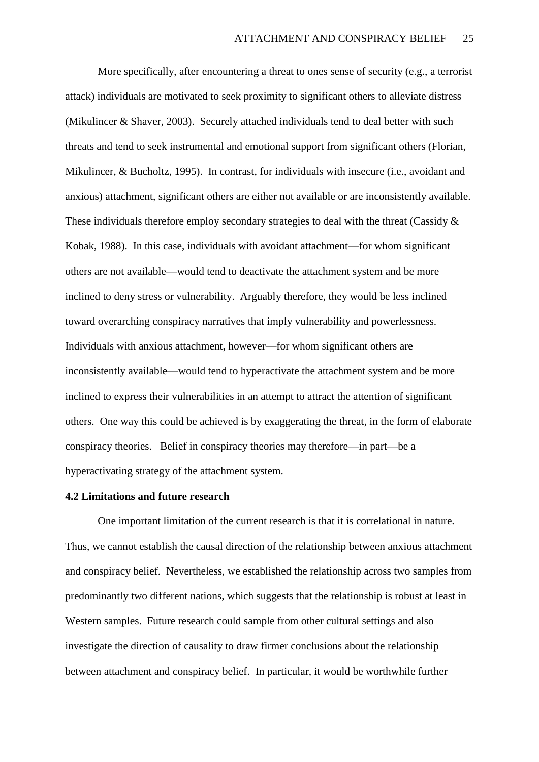More specifically, after encountering a threat to ones sense of security (e.g., a terrorist attack) individuals are motivated to seek proximity to significant others to alleviate distress (Mikulincer & Shaver, 2003). Securely attached individuals tend to deal better with such threats and tend to seek instrumental and emotional support from significant others (Florian, Mikulincer, & Bucholtz, 1995). In contrast, for individuals with insecure (i.e., avoidant and anxious) attachment, significant others are either not available or are inconsistently available. These individuals therefore employ secondary strategies to deal with the threat (Cassidy & Kobak, 1988). In this case, individuals with avoidant attachment—for whom significant others are not available—would tend to deactivate the attachment system and be more inclined to deny stress or vulnerability. Arguably therefore, they would be less inclined toward overarching conspiracy narratives that imply vulnerability and powerlessness. Individuals with anxious attachment, however—for whom significant others are inconsistently available—would tend to hyperactivate the attachment system and be more inclined to express their vulnerabilities in an attempt to attract the attention of significant others. One way this could be achieved is by exaggerating the threat, in the form of elaborate conspiracy theories. Belief in conspiracy theories may therefore—in part—be a hyperactivating strategy of the attachment system.

#### **4.2 Limitations and future research**

 One important limitation of the current research is that it is correlational in nature. Thus, we cannot establish the causal direction of the relationship between anxious attachment and conspiracy belief. Nevertheless, we established the relationship across two samples from predominantly two different nations, which suggests that the relationship is robust at least in Western samples. Future research could sample from other cultural settings and also investigate the direction of causality to draw firmer conclusions about the relationship between attachment and conspiracy belief. In particular, it would be worthwhile further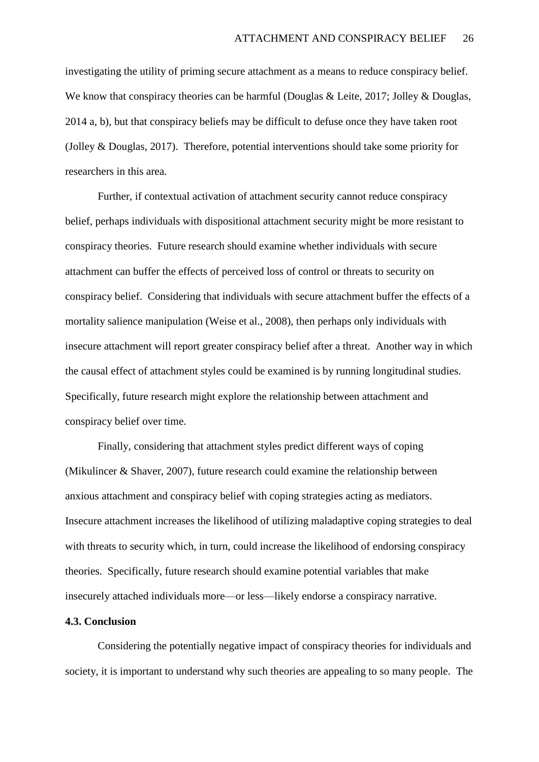investigating the utility of priming secure attachment as a means to reduce conspiracy belief. We know that conspiracy theories can be harmful (Douglas & Leite, 2017; Jolley & Douglas, 2014 a, b), but that conspiracy beliefs may be difficult to defuse once they have taken root (Jolley & Douglas, 2017). Therefore, potential interventions should take some priority for researchers in this area.

 Further, if contextual activation of attachment security cannot reduce conspiracy belief, perhaps individuals with dispositional attachment security might be more resistant to conspiracy theories. Future research should examine whether individuals with secure attachment can buffer the effects of perceived loss of control or threats to security on conspiracy belief. Considering that individuals with secure attachment buffer the effects of a mortality salience manipulation (Weise et al., 2008), then perhaps only individuals with insecure attachment will report greater conspiracy belief after a threat. Another way in which the causal effect of attachment styles could be examined is by running longitudinal studies. Specifically, future research might explore the relationship between attachment and conspiracy belief over time.

Finally, considering that attachment styles predict different ways of coping (Mikulincer & Shaver, 2007), future research could examine the relationship between anxious attachment and conspiracy belief with coping strategies acting as mediators. Insecure attachment increases the likelihood of utilizing maladaptive coping strategies to deal with threats to security which, in turn, could increase the likelihood of endorsing conspiracy theories. Specifically, future research should examine potential variables that make insecurely attached individuals more—or less—likely endorse a conspiracy narrative.

#### **4.3. Conclusion**

 Considering the potentially negative impact of conspiracy theories for individuals and society, it is important to understand why such theories are appealing to so many people. The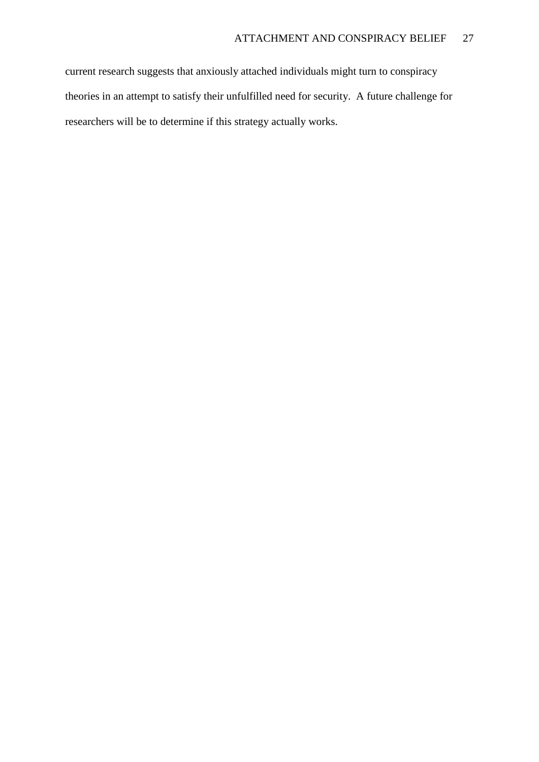current research suggests that anxiously attached individuals might turn to conspiracy theories in an attempt to satisfy their unfulfilled need for security. A future challenge for researchers will be to determine if this strategy actually works.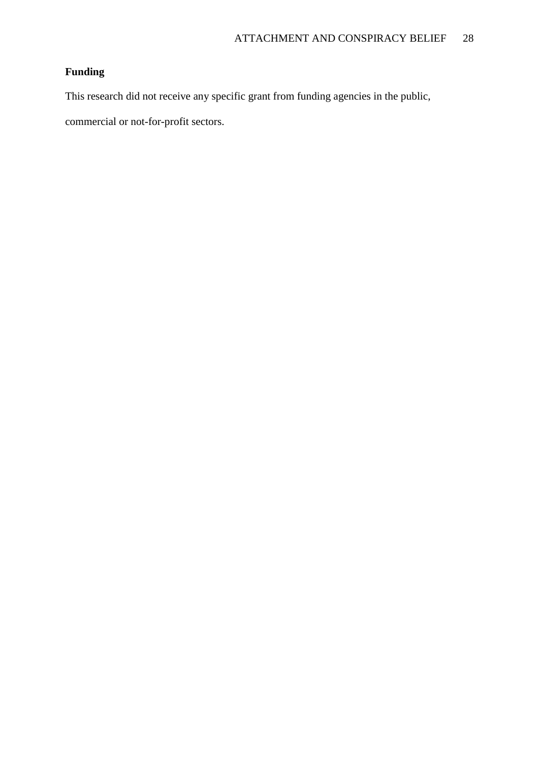## **Funding**

This research did not receive any specific grant from funding agencies in the public,

commercial or not-for-profit sectors.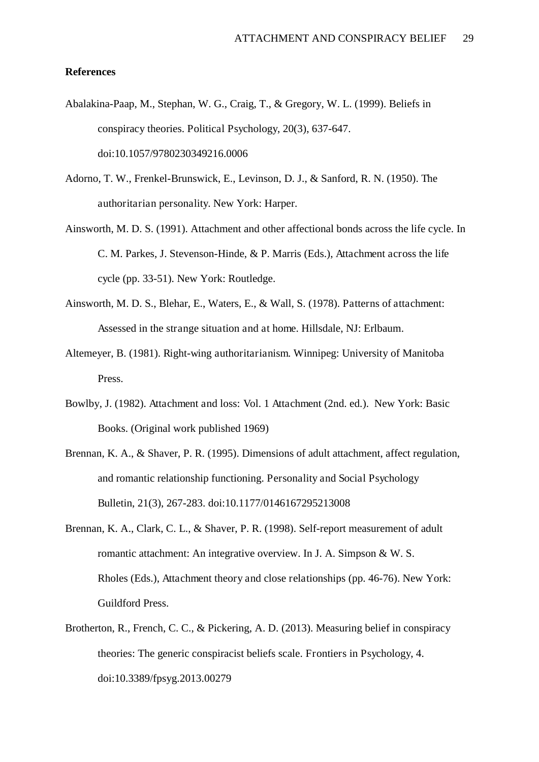#### **References**

- Abalakina-Paap, M., Stephan, W. G., Craig, T., & Gregory, W. L. (1999). Beliefs in conspiracy theories. Political Psychology, 20(3), 637-647. doi:10.1057/9780230349216.0006
- Adorno, T. W., Frenkel-Brunswick, E., Levinson, D. J., & Sanford, R. N. (1950). The authoritarian personality. New York: Harper.
- Ainsworth, M. D. S. (1991). Attachment and other affectional bonds across the life cycle. In C. M. Parkes, J. Stevenson-Hinde, & P. Marris (Eds.), Attachment across the life cycle (pp. 33-51). New York: Routledge.
- Ainsworth, M. D. S., Blehar, E., Waters, E., & Wall, S. (1978). Patterns of attachment: Assessed in the strange situation and at home. Hillsdale, NJ: Erlbaum.
- Altemeyer, B. (1981). Right-wing authoritarianism. Winnipeg: University of Manitoba Press.
- Bowlby, J. (1982). Attachment and loss: Vol. 1 Attachment (2nd. ed.). New York: Basic Books. (Original work published 1969)
- Brennan, K. A., & Shaver, P. R. (1995). Dimensions of adult attachment, affect regulation, and romantic relationship functioning. Personality and Social Psychology Bulletin, 21(3), 267-283. doi:10.1177/0146167295213008
- Brennan, K. A., Clark, C. L., & Shaver, P. R. (1998). Self-report measurement of adult romantic attachment: An integrative overview. In J. A. Simpson & W. S. Rholes (Eds.), Attachment theory and close relationships (pp. 46-76). New York: Guildford Press.
- Brotherton, R., French, C. C., & Pickering, A. D. (2013). Measuring belief in conspiracy theories: The generic conspiracist beliefs scale. Frontiers in Psychology, 4. doi:10.3389/fpsyg.2013.00279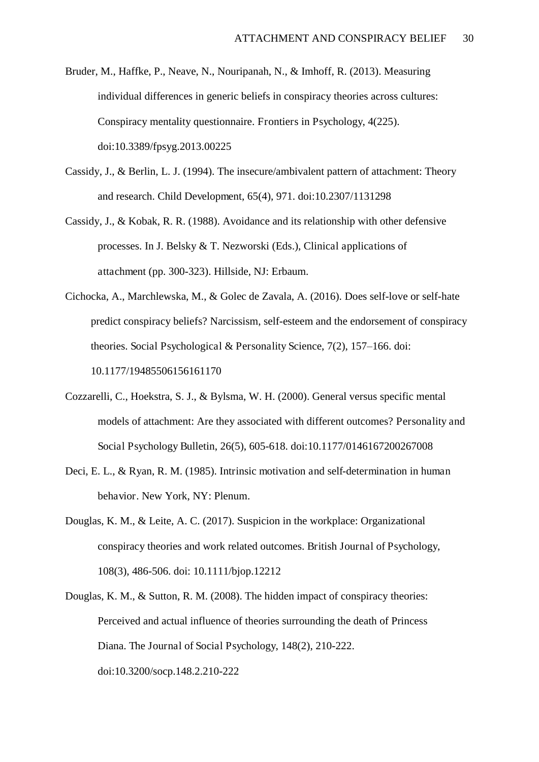- Bruder, M., Haffke, P., Neave, N., Nouripanah, N., & Imhoff, R. (2013). Measuring individual differences in generic beliefs in conspiracy theories across cultures: Conspiracy mentality questionnaire. Frontiers in Psychology, 4(225). doi:10.3389/fpsyg.2013.00225
- Cassidy, J., & Berlin, L. J. (1994). The insecure/ambivalent pattern of attachment: Theory and research. Child Development, 65(4), 971. doi:10.2307/1131298
- Cassidy, J., & Kobak, R. R. (1988). Avoidance and its relationship with other defensive processes. In J. Belsky & T. Nezworski (Eds.), Clinical applications of attachment (pp. 300-323). Hillside, NJ: Erbaum.
- Cichocka, A., Marchlewska, M., & Golec de Zavala, A. (2016). Does self-love or self-hate predict conspiracy beliefs? Narcissism, self-esteem and the endorsement of conspiracy theories. Social Psychological & Personality Science, 7(2), 157–166. doi: 10.1177/19485506156161170
- Cozzarelli, C., Hoekstra, S. J., & Bylsma, W. H. (2000). General versus specific mental models of attachment: Are they associated with different outcomes? Personality and Social Psychology Bulletin, 26(5), 605-618. doi:10.1177/0146167200267008
- Deci, E. L., & Ryan, R. M. (1985). Intrinsic motivation and self-determination in human behavior. New York, NY: Plenum.
- Douglas, K. M., & Leite, A. C. (2017). Suspicion in the workplace: Organizational conspiracy theories and work related outcomes. British Journal of Psychology, 108(3), 486-506. doi: 10.1111/bjop.12212
- Douglas, K. M., & Sutton, R. M. (2008). The hidden impact of conspiracy theories: Perceived and actual influence of theories surrounding the death of Princess Diana. The Journal of Social Psychology, 148(2), 210-222. doi:10.3200/socp.148.2.210-222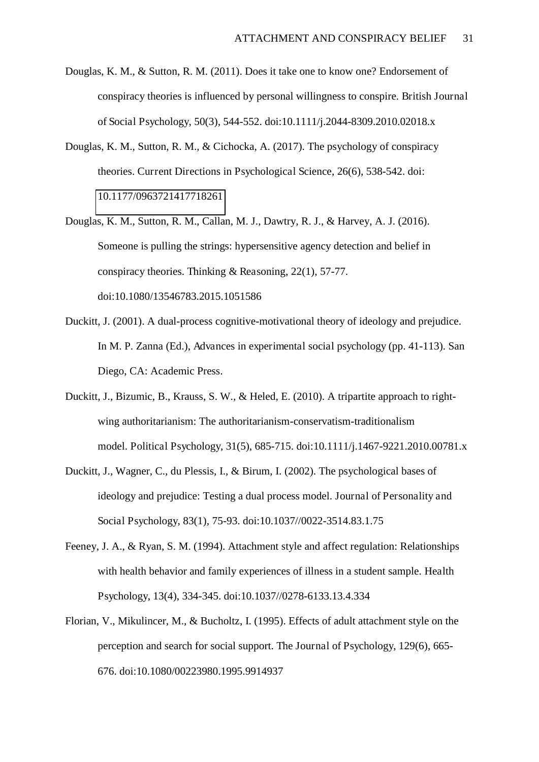- Douglas, K. M., & Sutton, R. M. (2011). Does it take one to know one? Endorsement of conspiracy theories is influenced by personal willingness to conspire. British Journal of Social Psychology, 50(3), 544-552. doi:10.1111/j.2044-8309.2010.02018.x
- Douglas, K. M., Sutton, R. M., & Cichocka, A. (2017). The psychology of conspiracy theories. Current Directions in Psychological Science, 26(6), 538-542. doi: [10.1177/0963721417718261](https://doi.org/10.1177%2F0963721417718261)
- Douglas, K. M., Sutton, R. M., Callan, M. J., Dawtry, R. J., & Harvey, A. J. (2016). Someone is pulling the strings: hypersensitive agency detection and belief in conspiracy theories. Thinking & Reasoning, 22(1), 57-77. doi:10.1080/13546783.2015.1051586
- Duckitt, J. (2001). A dual-process cognitive-motivational theory of ideology and prejudice. In M. P. Zanna (Ed.), Advances in experimental social psychology (pp. 41-113). San Diego, CA: Academic Press.
- Duckitt, J., Bizumic, B., Krauss, S. W., & Heled, E. (2010). A tripartite approach to rightwing authoritarianism: The authoritarianism-conservatism-traditionalism model. Political Psychology, 31(5), 685-715. doi:10.1111/j.1467-9221.2010.00781.x
- Duckitt, J., Wagner, C., du Plessis, I., & Birum, I. (2002). The psychological bases of ideology and prejudice: Testing a dual process model. Journal of Personality and Social Psychology, 83(1), 75-93. doi:10.1037//0022-3514.83.1.75
- Feeney, J. A., & Ryan, S. M. (1994). Attachment style and affect regulation: Relationships with health behavior and family experiences of illness in a student sample. Health Psychology, 13(4), 334-345. doi:10.1037//0278-6133.13.4.334
- Florian, V., Mikulincer, M., & Bucholtz, I. (1995). Effects of adult attachment style on the perception and search for social support. The Journal of Psychology, 129(6), 665- 676. doi:10.1080/00223980.1995.9914937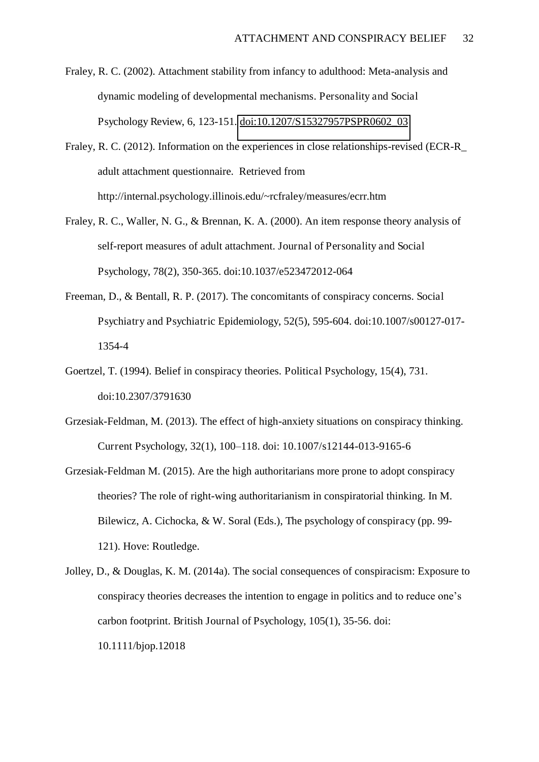- Fraley, R. C. (2002). Attachment stability from infancy to adulthood: Meta-analysis and dynamic modeling of developmental mechanisms. Personality and Social Psychology Review, 6, 123-151. [doi:10.1207/S15327957PSPR0602\\_03](https://doi.org/10.1207%2FS15327957PSPR0602_03)
- Fraley, R. C. (2012). Information on the experiences in close relationships-revised (ECR-R\_ adult attachment questionnaire. Retrieved from http://internal.psychology.illinois.edu/~rcfraley/measures/ecrr.htm
- Fraley, R. C., Waller, N. G., & Brennan, K. A. (2000). An item response theory analysis of self-report measures of adult attachment. Journal of Personality and Social Psychology, 78(2), 350-365. doi:10.1037/e523472012-064
- Freeman, D., & Bentall, R. P. (2017). The concomitants of conspiracy concerns. Social Psychiatry and Psychiatric Epidemiology, 52(5), 595-604. doi:10.1007/s00127-017- 1354-4
- Goertzel, T. (1994). Belief in conspiracy theories. Political Psychology, 15(4), 731. doi:10.2307/3791630
- Grzesiak-Feldman, M. (2013). The effect of high-anxiety situations on conspiracy thinking. Current Psychology, 32(1), 100–118. doi: 10.1007/s12144-013-9165-6
- Grzesiak-Feldman M. (2015). Are the high authoritarians more prone to adopt conspiracy theories? The role of right-wing authoritarianism in conspiratorial thinking. In M. Bilewicz, A. Cichocka, & W. Soral (Eds.), The psychology of conspiracy (pp. 99- 121). Hove: Routledge.
- Jolley, D., & Douglas, K. M. (2014a). The social consequences of conspiracism: Exposure to conspiracy theories decreases the intention to engage in politics and to reduce one's carbon footprint. British Journal of Psychology, 105(1), 35-56. doi: 10.1111/bjop.12018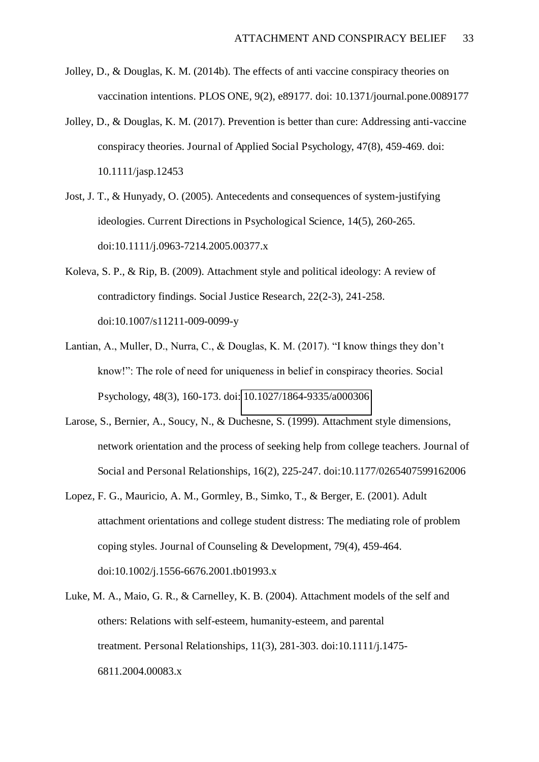- Jolley, D., & Douglas, K. M. (2014b). The effects of anti vaccine conspiracy theories on vaccination intentions. PLOS ONE, 9(2), e89177. doi: 10.1371/journal.pone.0089177
- Jolley, D., & Douglas, K. M. (2017). Prevention is better than cure: Addressing anti-vaccine conspiracy theories. Journal of Applied Social Psychology, 47(8), 459-469. doi: 10.1111/jasp.12453
- Jost, J. T., & Hunyady, O. (2005). Antecedents and consequences of system-justifying ideologies. Current Directions in Psychological Science, 14(5), 260-265. doi:10.1111/j.0963-7214.2005.00377.x
- Koleva, S. P., & Rip, B. (2009). Attachment style and political ideology: A review of contradictory findings. Social Justice Research, 22(2-3), 241-258. doi:10.1007/s11211-009-0099-y
- Lantian, A., Muller, D., Nurra, C., & Douglas, K. M. (2017). "I know things they don't know!": The role of need for uniqueness in belief in conspiracy theories. Social Psychology, 48(3), 160-173. doi: [10.1027/1864-9335/a000306](http://psycnet.apa.org/doi/10.1027/1864-9335/a000306)
- Larose, S., Bernier, A., Soucy, N., & Duchesne, S. (1999). Attachment style dimensions, network orientation and the process of seeking help from college teachers. Journal of Social and Personal Relationships, 16(2), 225-247. doi:10.1177/0265407599162006
- Lopez, F. G., Mauricio, A. M., Gormley, B., Simko, T., & Berger, E. (2001). Adult attachment orientations and college student distress: The mediating role of problem coping styles. Journal of Counseling & Development, 79(4), 459-464. doi:10.1002/j.1556-6676.2001.tb01993.x
- Luke, M. A., Maio, G. R., & Carnelley, K. B. (2004). Attachment models of the self and others: Relations with self-esteem, humanity-esteem, and parental treatment. Personal Relationships, 11(3), 281-303. doi:10.1111/j.1475- 6811.2004.00083.x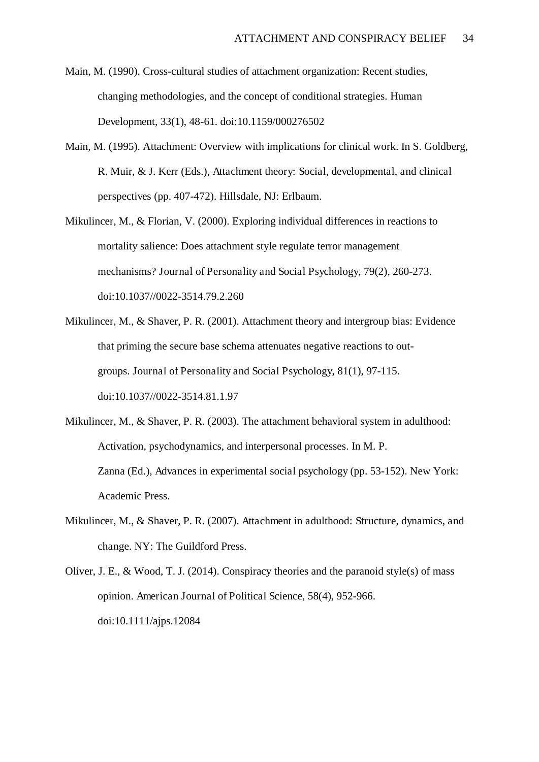- Main, M. (1990). Cross-cultural studies of attachment organization: Recent studies, changing methodologies, and the concept of conditional strategies. Human Development, 33(1), 48-61. doi:10.1159/000276502
- Main, M. (1995). Attachment: Overview with implications for clinical work. In S. Goldberg, R. Muir, & J. Kerr (Eds.), Attachment theory: Social, developmental, and clinical perspectives (pp. 407-472). Hillsdale, NJ: Erlbaum.
- Mikulincer, M., & Florian, V. (2000). Exploring individual differences in reactions to mortality salience: Does attachment style regulate terror management mechanisms? Journal of Personality and Social Psychology, 79(2), 260-273. doi:10.1037//0022-3514.79.2.260
- Mikulincer, M., & Shaver, P. R. (2001). Attachment theory and intergroup bias: Evidence that priming the secure base schema attenuates negative reactions to outgroups. Journal of Personality and Social Psychology, 81(1), 97-115. doi:10.1037//0022-3514.81.1.97
- Mikulincer, M., & Shaver, P. R. (2003). The attachment behavioral system in adulthood: Activation, psychodynamics, and interpersonal processes. In M. P. Zanna (Ed.), Advances in experimental social psychology (pp. 53-152). New York: Academic Press.
- Mikulincer, M., & Shaver, P. R. (2007). Attachment in adulthood: Structure, dynamics, and change. NY: The Guildford Press.
- Oliver, J. E., & Wood, T. J. (2014). Conspiracy theories and the paranoid style(s) of mass opinion. American Journal of Political Science, 58(4), 952-966. doi:10.1111/ajps.12084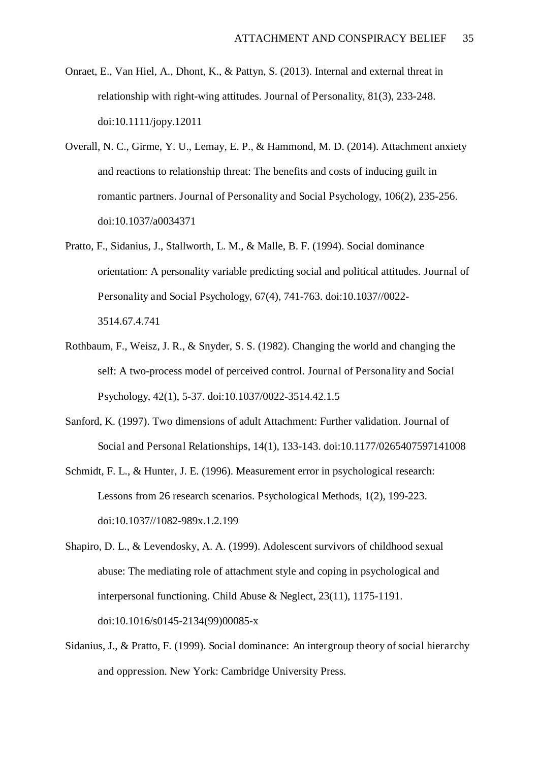- Onraet, E., Van Hiel, A., Dhont, K., & Pattyn, S. (2013). Internal and external threat in relationship with right-wing attitudes. Journal of Personality, 81(3), 233-248. doi:10.1111/jopy.12011
- Overall, N. C., Girme, Y. U., Lemay, E. P., & Hammond, M. D. (2014). Attachment anxiety and reactions to relationship threat: The benefits and costs of inducing guilt in romantic partners. Journal of Personality and Social Psychology, 106(2), 235-256. doi:10.1037/a0034371
- Pratto, F., Sidanius, J., Stallworth, L. M., & Malle, B. F. (1994). Social dominance orientation: A personality variable predicting social and political attitudes. Journal of Personality and Social Psychology, 67(4), 741-763. doi:10.1037//0022- 3514.67.4.741
- Rothbaum, F., Weisz, J. R., & Snyder, S. S. (1982). Changing the world and changing the self: A two-process model of perceived control. Journal of Personality and Social Psychology, 42(1), 5-37. doi:10.1037/0022-3514.42.1.5
- Sanford, K. (1997). Two dimensions of adult Attachment: Further validation. Journal of Social and Personal Relationships, 14(1), 133-143. doi:10.1177/0265407597141008
- Schmidt, F. L., & Hunter, J. E. (1996). Measurement error in psychological research: Lessons from 26 research scenarios. Psychological Methods, 1(2), 199-223. doi:10.1037//1082-989x.1.2.199
- Shapiro, D. L., & Levendosky, A. A. (1999). Adolescent survivors of childhood sexual abuse: The mediating role of attachment style and coping in psychological and interpersonal functioning. Child Abuse & Neglect, 23(11), 1175-1191. doi:10.1016/s0145-2134(99)00085-x
- Sidanius, J., & Pratto, F. (1999). Social dominance: An intergroup theory of social hierarchy and oppression. New York: Cambridge University Press.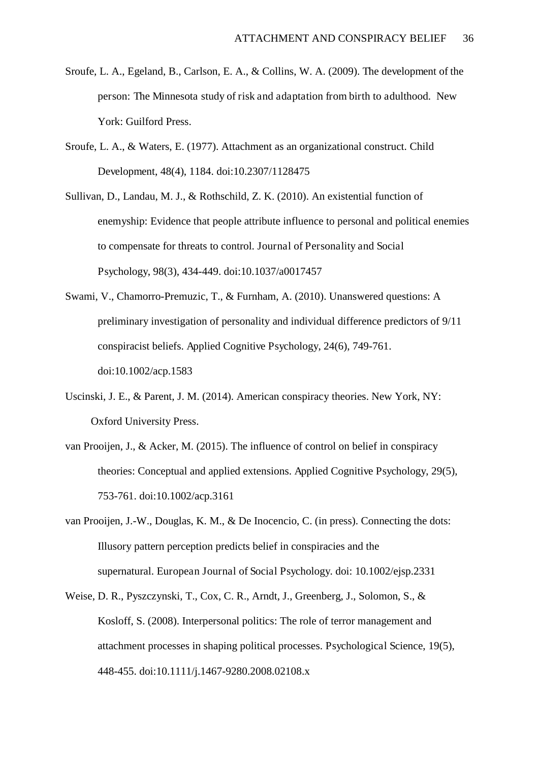- Sroufe, L. A., Egeland, B., Carlson, E. A., & Collins, W. A. (2009). The development of the person: The Minnesota study of risk and adaptation from birth to adulthood. New York: Guilford Press.
- Sroufe, L. A., & Waters, E. (1977). Attachment as an organizational construct. Child Development, 48(4), 1184. doi:10.2307/1128475
- Sullivan, D., Landau, M. J., & Rothschild, Z. K. (2010). An existential function of enemyship: Evidence that people attribute influence to personal and political enemies to compensate for threats to control. Journal of Personality and Social Psychology, 98(3), 434-449. doi:10.1037/a0017457
- Swami, V., Chamorro-Premuzic, T., & Furnham, A. (2010). Unanswered questions: A preliminary investigation of personality and individual difference predictors of 9/11 conspiracist beliefs. Applied Cognitive Psychology, 24(6), 749-761. doi:10.1002/acp.1583
- Uscinski, J. E., & Parent, J. M. (2014). American conspiracy theories. New York, NY: Oxford University Press.
- van Prooijen, J., & Acker, M. (2015). The influence of control on belief in conspiracy theories: Conceptual and applied extensions. Applied Cognitive Psychology, 29(5), 753-761. doi:10.1002/acp.3161
- van Prooijen, J.-W., Douglas, K. M., & De Inocencio, C. (in press). Connecting the dots: Illusory pattern perception predicts belief in conspiracies and the supernatural. European Journal of Social Psychology. doi: 10.1002/ejsp.2331
- Weise, D. R., Pyszczynski, T., Cox, C. R., Arndt, J., Greenberg, J., Solomon, S., & Kosloff, S. (2008). Interpersonal politics: The role of terror management and attachment processes in shaping political processes. Psychological Science, 19(5), 448-455. doi:10.1111/j.1467-9280.2008.02108.x